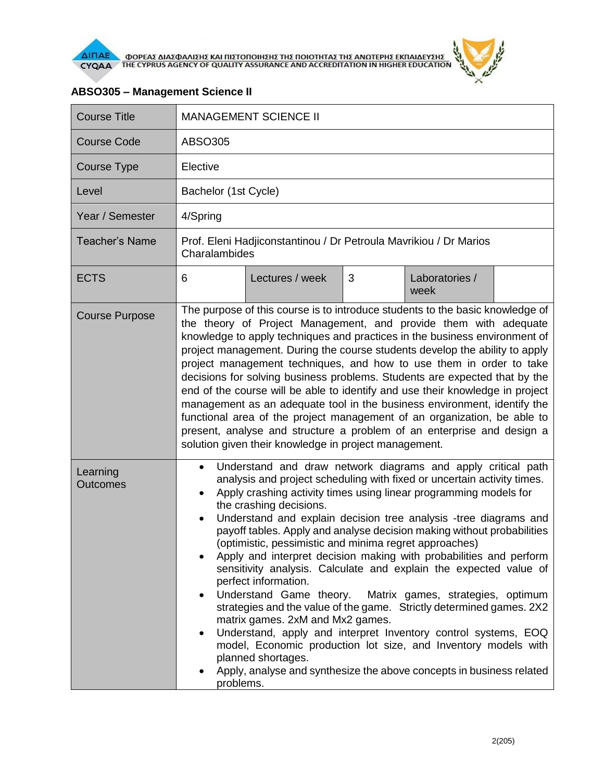

| <b>Course Title</b>         | <b>MANAGEMENT SCIENCE II</b>                                                                                                                                                                                                                                                                                                                                                                                                                                                                                                                                                                                                                                                                                                                                                                                                                                                                                                                                                                                                                                                           |  |  |  |
|-----------------------------|----------------------------------------------------------------------------------------------------------------------------------------------------------------------------------------------------------------------------------------------------------------------------------------------------------------------------------------------------------------------------------------------------------------------------------------------------------------------------------------------------------------------------------------------------------------------------------------------------------------------------------------------------------------------------------------------------------------------------------------------------------------------------------------------------------------------------------------------------------------------------------------------------------------------------------------------------------------------------------------------------------------------------------------------------------------------------------------|--|--|--|
| <b>Course Code</b>          | ABSO305                                                                                                                                                                                                                                                                                                                                                                                                                                                                                                                                                                                                                                                                                                                                                                                                                                                                                                                                                                                                                                                                                |  |  |  |
| Course Type                 | Elective                                                                                                                                                                                                                                                                                                                                                                                                                                                                                                                                                                                                                                                                                                                                                                                                                                                                                                                                                                                                                                                                               |  |  |  |
| Level                       | Bachelor (1st Cycle)                                                                                                                                                                                                                                                                                                                                                                                                                                                                                                                                                                                                                                                                                                                                                                                                                                                                                                                                                                                                                                                                   |  |  |  |
| Year / Semester             | 4/Spring                                                                                                                                                                                                                                                                                                                                                                                                                                                                                                                                                                                                                                                                                                                                                                                                                                                                                                                                                                                                                                                                               |  |  |  |
| <b>Teacher's Name</b>       | Prof. Eleni Hadjiconstantinou / Dr Petroula Mavrikiou / Dr Marios<br>Charalambides                                                                                                                                                                                                                                                                                                                                                                                                                                                                                                                                                                                                                                                                                                                                                                                                                                                                                                                                                                                                     |  |  |  |
| <b>ECTS</b>                 | 3<br>6<br>Lectures / week<br>Laboratories /<br>week                                                                                                                                                                                                                                                                                                                                                                                                                                                                                                                                                                                                                                                                                                                                                                                                                                                                                                                                                                                                                                    |  |  |  |
| <b>Course Purpose</b>       | The purpose of this course is to introduce students to the basic knowledge of<br>the theory of Project Management, and provide them with adequate<br>knowledge to apply techniques and practices in the business environment of<br>project management. During the course students develop the ability to apply<br>project management techniques, and how to use them in order to take<br>decisions for solving business problems. Students are expected that by the<br>end of the course will be able to identify and use their knowledge in project<br>management as an adequate tool in the business environment, identify the<br>functional area of the project management of an organization, be able to<br>present, analyse and structure a problem of an enterprise and design a<br>solution given their knowledge in project management.                                                                                                                                                                                                                                        |  |  |  |
| Learning<br><b>Outcomes</b> | Understand and draw network diagrams and apply critical path<br>$\bullet$<br>analysis and project scheduling with fixed or uncertain activity times.<br>Apply crashing activity times using linear programming models for<br>$\bullet$<br>the crashing decisions.<br>Understand and explain decision tree analysis -tree diagrams and<br>٠<br>payoff tables. Apply and analyse decision making without probabilities<br>(optimistic, pessimistic and minima regret approaches)<br>Apply and interpret decision making with probabilities and perform<br>sensitivity analysis. Calculate and explain the expected value of<br>perfect information.<br>Understand Game theory. Matrix games, strategies, optimum<br>strategies and the value of the game. Strictly determined games. 2X2<br>matrix games. 2xM and Mx2 games.<br>Understand, apply and interpret Inventory control systems, EOQ<br>$\bullet$<br>model, Economic production lot size, and Inventory models with<br>planned shortages.<br>Apply, analyse and synthesize the above concepts in business related<br>problems. |  |  |  |

## **ABSO305 – Management Science II**

 $\frac{d^2y}{dx^2}$